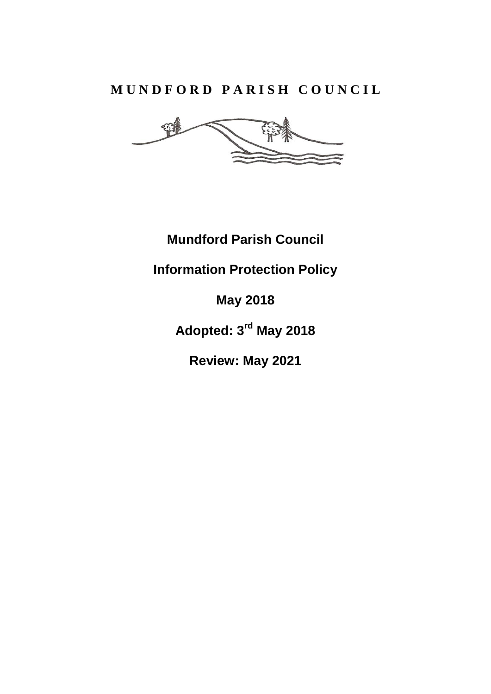# **M U N D F O R D P A R I S H C O U N C I L**

웜

**Mundford Parish Council**

**Information Protection Policy**

**May 2018**

**Adopted: 3rd May 2018**

**Review: May 2021**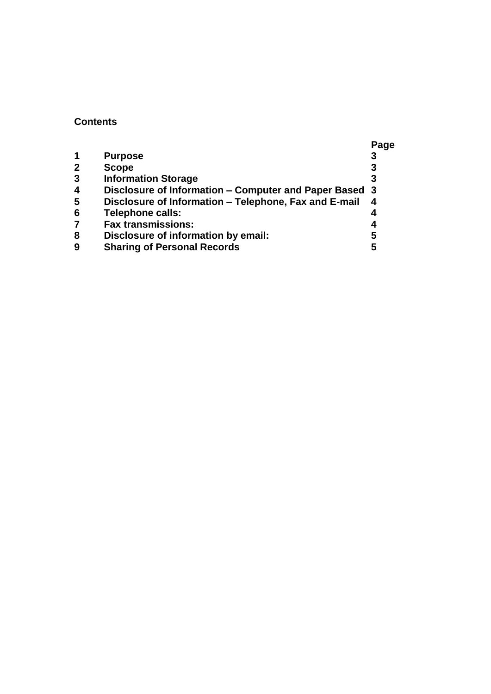#### **Contents**

|                         |                                                        | Page |
|-------------------------|--------------------------------------------------------|------|
|                         | <b>Purpose</b>                                         | 3    |
| $\mathbf{2}$            | <b>Scope</b>                                           | 3    |
| $\mathbf{3}$            | <b>Information Storage</b>                             | 3    |
| $\overline{\mathbf{4}}$ | Disclosure of Information - Computer and Paper Based 3 |      |
| 5                       | Disclosure of Information - Telephone, Fax and E-mail  | 4    |
| $6\phantom{1}6$         | <b>Telephone calls:</b>                                |      |
| $\overline{7}$          | <b>Fax transmissions:</b>                              | 4    |
| 8                       | Disclosure of information by email:                    | 5    |
| 9                       | <b>Sharing of Personal Records</b>                     | 5    |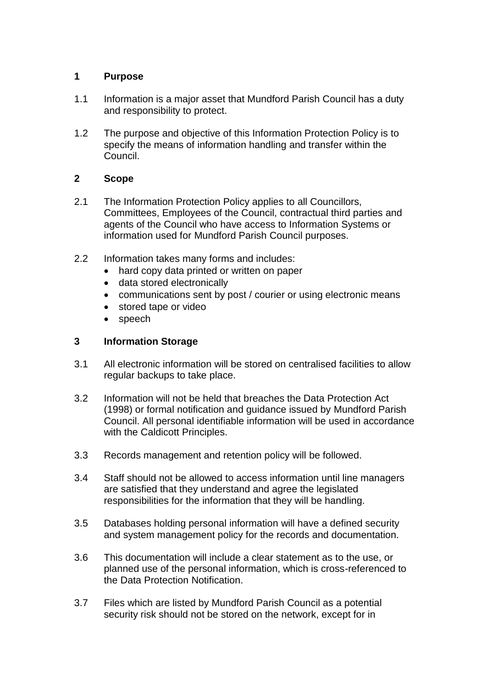## **1 Purpose**

- 1.1 Information is a major asset that Mundford Parish Council has a duty and responsibility to protect.
- 1.2 The purpose and objective of this Information Protection Policy is to specify the means of information handling and transfer within the Council.

# **2 Scope**

- 2.1 The Information Protection Policy applies to all Councillors, Committees, Employees of the Council, contractual third parties and agents of the Council who have access to Information Systems or information used for Mundford Parish Council purposes.
- 2.2 Information takes many forms and includes:
	- hard copy data printed or written on paper
	- data stored electronically
	- communications sent by post / courier or using electronic means
	- stored tape or video
	- speech

## **3 Information Storage**

- 3.1 All electronic information will be stored on centralised facilities to allow regular backups to take place.
- 3.2 Information will not be held that breaches the Data Protection Act (1998) or formal notification and guidance issued by Mundford Parish Council. All personal identifiable information will be used in accordance with the Caldicott Principles.
- 3.3 Records management and retention policy will be followed.
- 3.4 Staff should not be allowed to access information until line managers are satisfied that they understand and agree the legislated responsibilities for the information that they will be handling.
- 3.5 Databases holding personal information will have a defined security and system management policy for the records and documentation.
- 3.6 This documentation will include a clear statement as to the use, or planned use of the personal information, which is cross-referenced to the Data Protection Notification.
- 3.7 Files which are listed by Mundford Parish Council as a potential security risk should not be stored on the network, except for in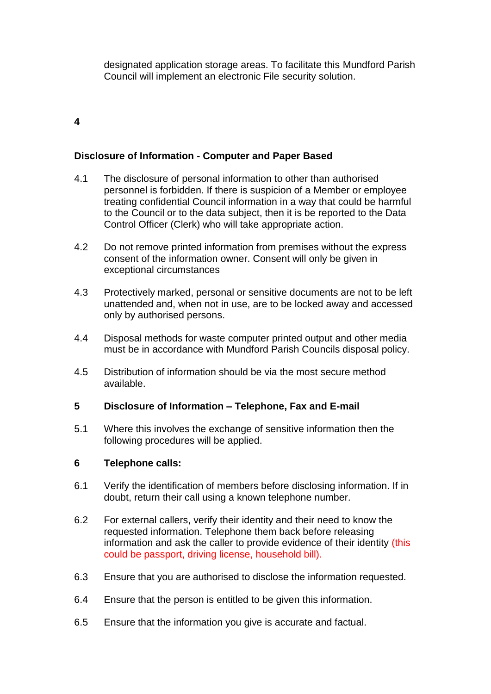designated application storage areas. To facilitate this Mundford Parish Council will implement an electronic File security solution.

## **4**

## **Disclosure of Information - Computer and Paper Based**

- 4.1 The disclosure of personal information to other than authorised personnel is forbidden. If there is suspicion of a Member or employee treating confidential Council information in a way that could be harmful to the Council or to the data subject, then it is be reported to the Data Control Officer (Clerk) who will take appropriate action.
- 4.2 Do not remove printed information from premises without the express consent of the information owner. Consent will only be given in exceptional circumstances
- 4.3 Protectively marked, personal or sensitive documents are not to be left unattended and, when not in use, are to be locked away and accessed only by authorised persons.
- 4.4 Disposal methods for waste computer printed output and other media must be in accordance with Mundford Parish Councils disposal policy.
- 4.5 Distribution of information should be via the most secure method available.

#### **5 Disclosure of Information – Telephone, Fax and E-mail**

5.1 Where this involves the exchange of sensitive information then the following procedures will be applied.

#### **6 Telephone calls:**

- 6.1 Verify the identification of members before disclosing information. If in doubt, return their call using a known telephone number.
- 6.2 For external callers, verify their identity and their need to know the requested information. Telephone them back before releasing information and ask the caller to provide evidence of their identity (this could be passport, driving license, household bill).
- 6.3 Ensure that you are authorised to disclose the information requested.
- 6.4 Ensure that the person is entitled to be given this information.
- 6.5 Ensure that the information you give is accurate and factual.